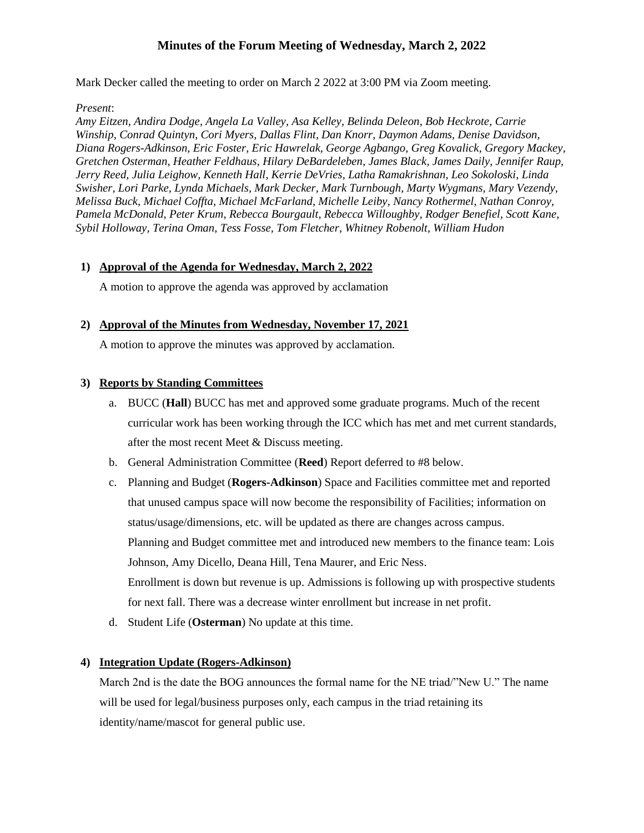# **Minutes of the Forum Meeting of Wednesday, March 2, 2022**

Mark Decker called the meeting to order on March 2 2022 at 3:00 PM via Zoom meeting.

#### *Present*:

*Amy Eitzen, Andira Dodge, Angela La Valley, Asa Kelley, Belinda Deleon, Bob Heckrote, Carrie Winship, Conrad Quintyn, Cori Myers, Dallas Flint, Dan Knorr, Daymon Adams, Denise Davidson, Diana Rogers-Adkinson, Eric Foster, Eric Hawrelak, George Agbango, Greg Kovalick, Gregory Mackey, Gretchen Osterman, Heather Feldhaus, Hilary DeBardeleben, James Black, James Daily, Jennifer Raup, Jerry Reed, Julia Leighow, Kenneth Hall, Kerrie DeVries, Latha Ramakrishnan, Leo Sokoloski, Linda Swisher, Lori Parke, Lynda Michaels, Mark Decker, Mark Turnbough, Marty Wygmans, Mary Vezendy, Melissa Buck, Michael Coffta, Michael McFarland, Michelle Leiby, Nancy Rothermel, Nathan Conroy, Pamela McDonald, Peter Krum, Rebecca Bourgault, Rebecca Willoughby, Rodger Benefiel, Scott Kane, Sybil Holloway, Terina Oman, Tess Fosse, Tom Fletcher, Whitney Robenolt, William Hudon*

### **1) Approval of the Agenda for Wednesday, March 2, 2022**

A motion to approve the agenda was approved by acclamation

### **2) Approval of the Minutes from Wednesday, November 17, 2021**

A motion to approve the minutes was approved by acclamation.

### **3) Reports by Standing Committees**

- a. BUCC (**Hall**) BUCC has met and approved some graduate programs. Much of the recent curricular work has been working through the ICC which has met and met current standards, after the most recent Meet & Discuss meeting.
- b. General Administration Committee (**Reed**) Report deferred to #8 below.
- c. Planning and Budget (**Rogers-Adkinson**) Space and Facilities committee met and reported that unused campus space will now become the responsibility of Facilities; information on status/usage/dimensions, etc. will be updated as there are changes across campus. Planning and Budget committee met and introduced new members to the finance team: Lois Johnson, Amy Dicello, Deana Hill, Tena Maurer, and Eric Ness. Enrollment is down but revenue is up. Admissions is following up with prospective students for next fall. There was a decrease winter enrollment but increase in net profit.
- d. Student Life (**Osterman**) No update at this time.

### **4) Integration Update (Rogers-Adkinson)**

March 2nd is the date the BOG announces the formal name for the NE triad/"New U." The name will be used for legal/business purposes only, each campus in the triad retaining its identity/name/mascot for general public use.